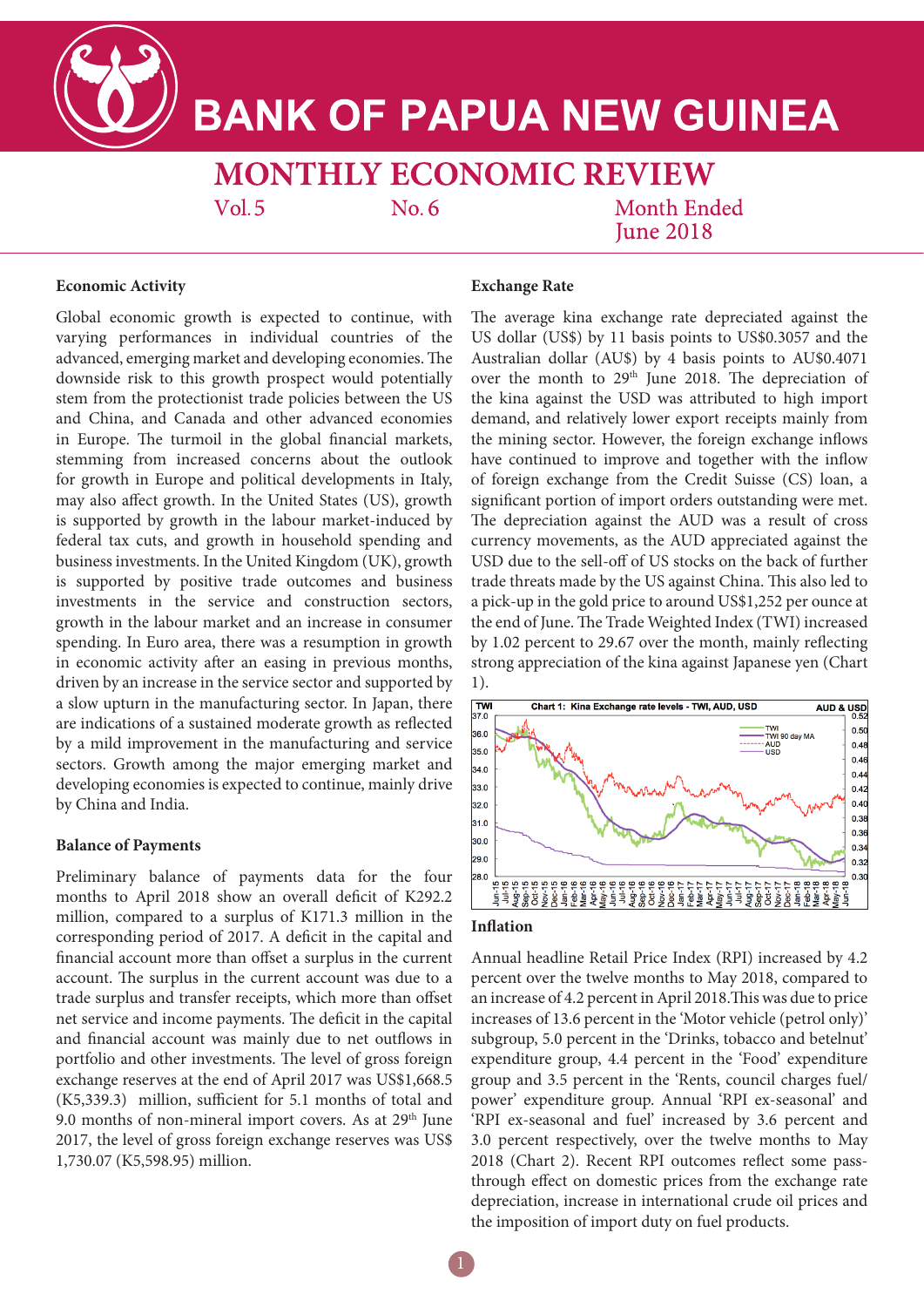**BANK OF PAPUA NEW GUINEA** 

**MONTHLY ECONOMIC REVIEW** 

 $Vol.5$ 

 $No. 6$ 

**Month Ended Iune 2018** 

#### **Economic Activity**

Global economic growth is expected to continue, with varying performances in individual countries of the advanced, emerging market and developing economies. The downside risk to this growth prospect would potentially stem from the protectionist trade policies between the US and China, and Canada and other advanced economies in Europe. The turmoil in the global financial markets, stemming from increased concerns about the outlook for growth in Europe and political developments in Italy, may also affect growth. In the United States (US), growth is supported by growth in the labour market-induced by federal tax cuts, and growth in household spending and business investments. In the United Kingdom (UK), growth is supported by positive trade outcomes and business investments in the service and construction sectors, growth in the labour market and an increase in consumer spending. In Euro area, there was a resumption in growth in economic activity after an easing in previous months, driven by an increase in the service sector and supported by a slow upturn in the manufacturing sector. In Japan, there are indications of a sustained moderate growth as reflected by a mild improvement in the manufacturing and service sectors. Growth among the major emerging market and developing economies is expected to continue, mainly drive by China and India.

## **Balance of Payments**

Preliminary balance of payments data for the four months to April 2018 show an overall deficit of K292.2 million, compared to a surplus of K171.3 million in the corresponding period of 2017. A deficit in the capital and financial account more than offset a surplus in the current account. The surplus in the current account was due to a trade surplus and transfer receipts, which more than offset net service and income payments. The deficit in the capital and financial account was mainly due to net outflows in portfolio and other investments. The level of gross foreign exchange reserves at the end of April 2017 was US\$1,668.5 (K5,339.3) million, sufficient for 5.1 months of total and 9.0 months of non-mineral import covers. As at  $29<sup>th</sup>$  June 2017, the level of gross foreign exchange reserves was US\$ 1,730.07 (K5,598.95) million.

# **Exchange Rate**

The average kina exchange rate depreciated against the US dollar (US\$) by 11 basis points to US\$0.3057 and the Australian dollar (AU\$) by 4 basis points to AU\$0.4071 over the month to 29<sup>th</sup> June 2018. The depreciation of the kina against the USD was attributed to high import demand, and relatively lower export receipts mainly from the mining sector. However, the foreign exchange inflows have continued to improve and together with the inflow of foreign exchange from the Credit Suisse (CS) loan, a significant portion of import orders outstanding were met. The depreciation against the AUD was a result of cross currency movements, as the AUD appreciated against the USD due to the sell-off of US stocks on the back of further trade threats made by the US against China. This also led to a pick-up in the gold price to around US\$1,252 per ounce at the end of June. The Trade Weighted Index (TWI) increased by 1.02 percent to 29.67 over the month, mainly reflecting strong appreciation of the kina against Japanese yen (Chart 1).



# **Inflation**

Annual headline Retail Price Index (RPI) increased by 4.2 percent over the twelve months to May 2018, compared to an increase of 4.2 percent in April 2018.This was due to price increases of 13.6 percent in the 'Motor vehicle (petrol only)' subgroup, 5.0 percent in the 'Drinks, tobacco and betelnut' expenditure group, 4.4 percent in the 'Food' expenditure group and 3.5 percent in the 'Rents, council charges fuel/ power' expenditure group. Annual 'RPI ex-seasonal' and 'RPI ex-seasonal and fuel' increased by 3.6 percent and 3.0 percent respectively, over the twelve months to May 2018 (Chart 2). Recent RPI outcomes reflect some passthrough effect on domestic prices from the exchange rate depreciation, increase in international crude oil prices and the imposition of import duty on fuel products.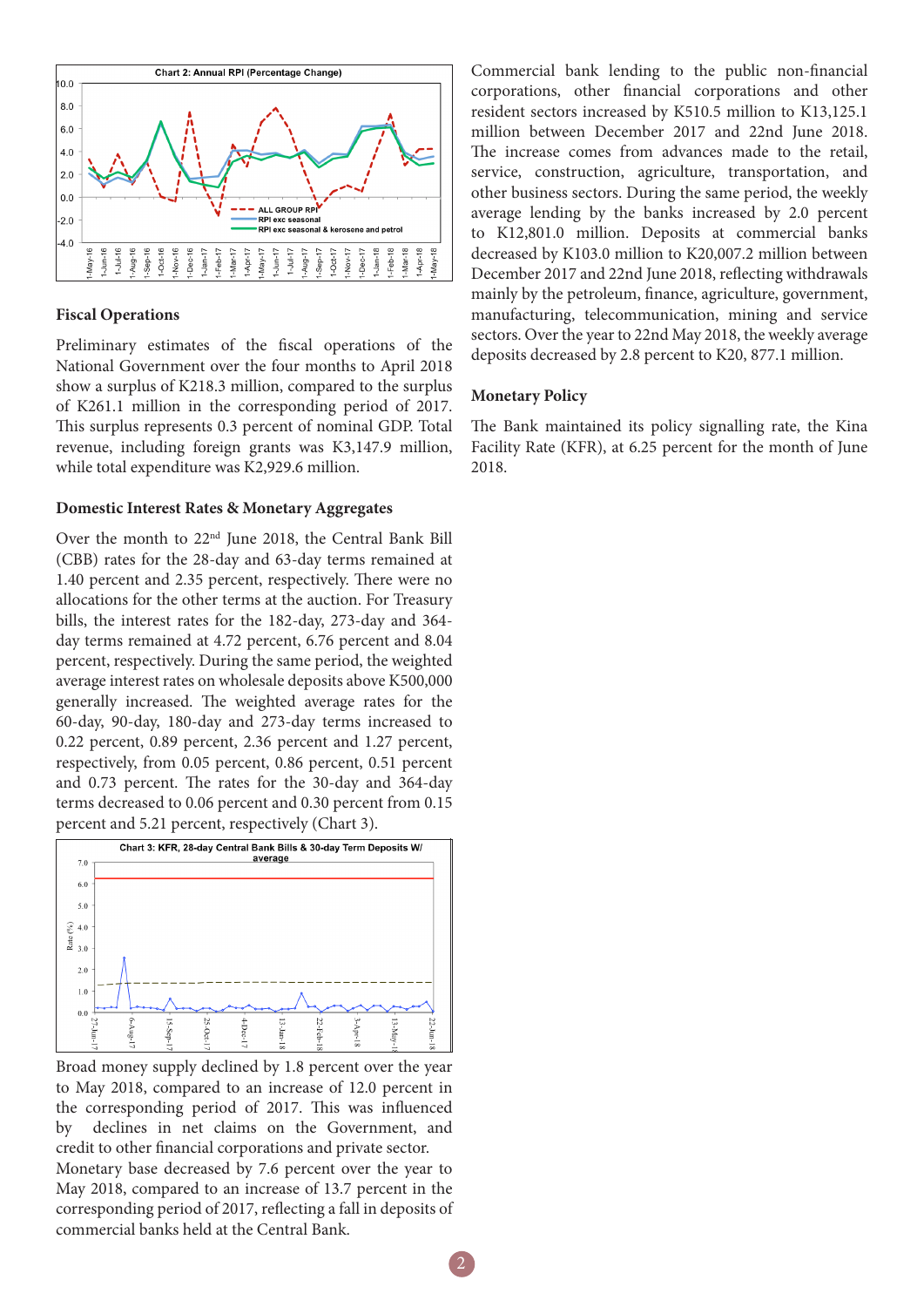

## **Fiscal Operations**

Preliminary estimates of the fiscal operations of the National Government over the four months to April 2018 show a surplus of K218.3 million, compared to the surplus of K261.1 million in the corresponding period of 2017. This surplus represents 0.3 percent of nominal GDP. Total revenue, including foreign grants was K3,147.9 million, while total expenditure was K2,929.6 million.

## **Domestic Interest Rates & Monetary Aggregates**

Over the month to 22nd June 2018, the Central Bank Bill (CBB) rates for the 28-day and 63-day terms remained at 1.40 percent and 2.35 percent, respectively. There were no allocations for the other terms at the auction. For Treasury bills, the interest rates for the 182-day, 273-day and 364 day terms remained at 4.72 percent, 6.76 percent and 8.04 percent, respectively. During the same period, the weighted average interest rates on wholesale deposits above K500,000 generally increased. The weighted average rates for the 60-day, 90-day, 180-day and 273-day terms increased to 0.22 percent, 0.89 percent, 2.36 percent and 1.27 percent, respectively, from 0.05 percent, 0.86 percent, 0.51 percent and 0.73 percent. The rates for the 30-day and 364-day terms decreased to 0.06 percent and 0.30 percent from 0.15 percent and 5.21 percent, respectively (Chart 3).



Broad money supply declined by 1.8 percent over the year to May 2018, compared to an increase of 12.0 percent in the corresponding period of 2017. This was influenced by declines in net claims on the Government, and credit to other financial corporations and private sector. Monetary base decreased by 7.6 percent over the year to May 2018, compared to an increase of 13.7 percent in the corresponding period of 2017, reflecting a fall in deposits of commercial banks held at the Central Bank.

Commercial bank lending to the public non-financial corporations, other financial corporations and other resident sectors increased by K510.5 million to K13,125.1 million between December 2017 and 22nd June 2018. The increase comes from advances made to the retail, service, construction, agriculture, transportation, and other business sectors. During the same period, the weekly average lending by the banks increased by 2.0 percent to K12,801.0 million. Deposits at commercial banks decreased by K103.0 million to K20,007.2 million between December 2017 and 22nd June 2018, reflecting withdrawals mainly by the petroleum, finance, agriculture, government, manufacturing, telecommunication, mining and service sectors. Over the year to 22nd May 2018, the weekly average deposits decreased by 2.8 percent to K20, 877.1 million.

# **Monetary Policy**

The Bank maintained its policy signalling rate, the Kina Facility Rate (KFR), at 6.25 percent for the month of June 2018.